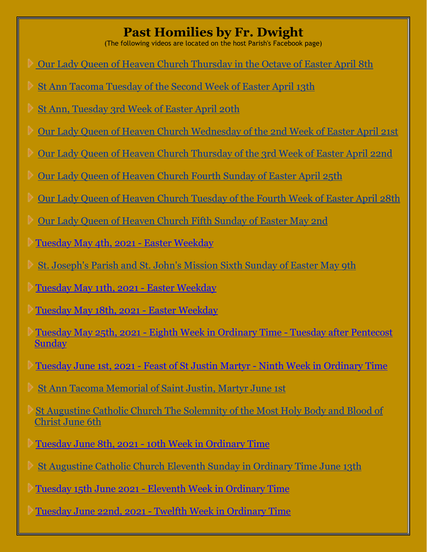## **Past Homilies by Fr. Dwight**

(The following videos are located on the host Parish's Facebook page)

- [Our Lady Queen of Heaven Church Thursday in the Octave of Easter April 8th](https://www.facebook.com/olqhcc/videos/3818067331643746/)
- [St Ann Tacoma Tuesday of the Second Week of Easter April 13th](https://www.facebook.com/stanntacoma/videos/3851337611599577/)
- [St Ann, Tuesday 3rd Week of Easter April 20th](https://www.facebook.com/stanntacoma/videos/262281138930366/)
- [Our Lady Queen of Heaven Church Wednesday of the 2nd Week of Easter April 21st](https://www.facebook.com/olqhcc/videos/968907627213081/)
- [Our Lady Queen of Heaven Church Thursday of the 3rd Week of Easter](https://www.facebook.com/olqhcc/videos/580963029963076/) April 22nd
- [Our Lady Queen of Heaven Church Fourth Sunday of Easter April 25th](https://www.facebook.com/olqhcc/videos/165560412030500/)
- [Our Lady Queen of Heaven Church Tuesday of the Fourth Week of Easter April 28th](https://www.facebook.com/olqhcc/videos/304858554613775/)
- [Our Lady Queen of Heaven Church Fifth Sunday of Easter May 2nd](https://www.facebook.com/olqhcc/videos/214888567112235/)
- [Tuesday May 4th, 2021 -](https://www.facebook.com/stanntacoma/videos/108162414671822/) Easter Weekday
- [St. Joseph's Parish and St. John's Mission Sixth Sunday of Easter May 9th](https://www.facebook.com/CatholicChurchesofEastGraysHarbor/videos/479334589986903/)
- [Tuesday May 11th, 2021 -](https://www.facebook.com/stanntacoma/videos/1237200946712894/) Easter Weekday
- [Tuesday May 18th, 2021 -](https://www.facebook.com/stanntacoma/videos/307850130925055/) Easter Weekday
- Tuesday May 25th, 2021 [Eighth Week in Ordinary Time -](https://www.facebook.com/stanntacoma/videos/546218166386070/) Tuesday after Pentecost [Sunday](https://www.facebook.com/stanntacoma/videos/546218166386070/)
- Tuesday June 1st, 2021 Feast of St Justin Martyr [Ninth Week in Ordinary Time](https://www.facebook.com/stanntacoma/videos/969478537142299/)
- [St Ann Tacoma Memorial of Saint Justin, Martyr June 1st](https://www.facebook.com/stanntacoma/videos/969478537142299/)
- [St Augustine Catholic Church The Solemnity of the Most Holy Body and Blood of](https://www.facebook.com/STAOAKHARBORWA/videos/198208505497045/) [Christ June 6th](https://www.facebook.com/STAOAKHARBORWA/videos/198208505497045/)
- Tuesday June 8th, 2021 [10th Week in Ordinary Time](https://www.facebook.com/stanntacoma/videos/557237941944207/)
- [St Augustine Catholic Church Eleventh Sunday in Ordinary Time June 13th](https://www.facebook.com/STAOAKHARBORWA/videos/541887700278686/)
- [T](https://www.facebook.com/olqhcc/videos/3818067331643746/)uesday 15th June 2021 [Eleventh Week in Ordinary Time](https://www.facebook.com/stanntacoma/videos/557813132268343/)
- [T](https://www.facebook.com/olqhcc/videos/3818067331643746/)uesday June 22nd, 2021 [Twelfth Week in Ordinary Time](https://www.facebook.com/stanntacoma/videos/1985442064943267/)